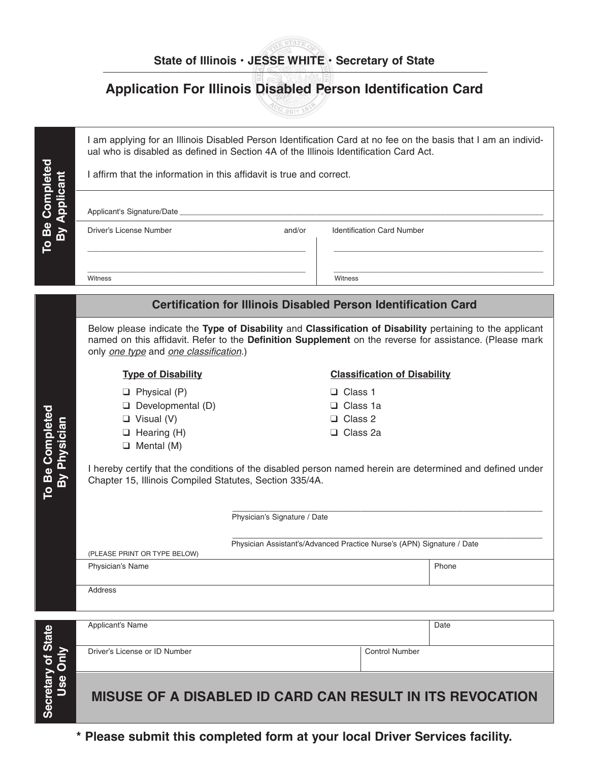# **STATE OF State of Illinois • JESSE WHITE • Secretary of State**

# **Application For Illinois Disabled Person Identification Card**

**CG. 2618 16V** 

|                                 | I am applying for an Illinois Disabled Person Identification Card at no fee on the basis that I am an individ-<br>ual who is disabled as defined in Section 4A of the Illinois Identification Card Act.<br>I affirm that the information in this affidavit is true and correct. |                                                                                                        |                                     |                       |  |  |
|---------------------------------|---------------------------------------------------------------------------------------------------------------------------------------------------------------------------------------------------------------------------------------------------------------------------------|--------------------------------------------------------------------------------------------------------|-------------------------------------|-----------------------|--|--|
| By Applicant                    |                                                                                                                                                                                                                                                                                 |                                                                                                        |                                     |                       |  |  |
| To Be Completed                 | Driver's License Number                                                                                                                                                                                                                                                         | and/or                                                                                                 | <b>Identification Card Number</b>   |                       |  |  |
|                                 | Witness                                                                                                                                                                                                                                                                         |                                                                                                        | Witness                             |                       |  |  |
|                                 | <b>Certification for Illinois Disabled Person Identification Card</b>                                                                                                                                                                                                           |                                                                                                        |                                     |                       |  |  |
|                                 | Below please indicate the Type of Disability and Classification of Disability pertaining to the applicant<br>named on this affidavit. Refer to the Definition Supplement on the reverse for assistance. (Please mark<br>only one type and one classification.)                  |                                                                                                        |                                     |                       |  |  |
| To Be Completed<br>By Physician | <b>Type of Disability</b>                                                                                                                                                                                                                                                       |                                                                                                        | <b>Classification of Disability</b> |                       |  |  |
|                                 | $\Box$ Physical (P)                                                                                                                                                                                                                                                             |                                                                                                        | □ Class 1                           |                       |  |  |
|                                 | $\Box$ Developmental (D)                                                                                                                                                                                                                                                        |                                                                                                        | □ Class 1a                          |                       |  |  |
|                                 | $\Box$ Visual (V)                                                                                                                                                                                                                                                               |                                                                                                        | □ Class 2                           |                       |  |  |
|                                 | $\Box$ Hearing (H)                                                                                                                                                                                                                                                              |                                                                                                        | □ Class 2a                          |                       |  |  |
|                                 | $\Box$ Mental (M)                                                                                                                                                                                                                                                               |                                                                                                        |                                     |                       |  |  |
|                                 | I hereby certify that the conditions of the disabled person named herein are determined and defined under<br>Chapter 15, Illinois Compiled Statutes, Section 335/4A.                                                                                                            |                                                                                                        |                                     |                       |  |  |
|                                 |                                                                                                                                                                                                                                                                                 | Physician's Signature / Date<br>Physician Assistant's/Advanced Practice Nurse's (APN) Signature / Date |                                     |                       |  |  |
|                                 | (PLEASE PRINT OR TYPE BELOW)                                                                                                                                                                                                                                                    |                                                                                                        |                                     |                       |  |  |
|                                 | Physician's Name                                                                                                                                                                                                                                                                |                                                                                                        |                                     |                       |  |  |
|                                 | Address                                                                                                                                                                                                                                                                         |                                                                                                        |                                     |                       |  |  |
|                                 |                                                                                                                                                                                                                                                                                 |                                                                                                        |                                     |                       |  |  |
|                                 | Applicant's Name                                                                                                                                                                                                                                                                |                                                                                                        | Date                                |                       |  |  |
| $\overline{\bf{5}}$             | Driver's License or ID Number                                                                                                                                                                                                                                                   |                                                                                                        |                                     | <b>Control Number</b> |  |  |
| Secretary of State<br>Use       | MISUSE OF A DISABLED ID CARD CAN RESULT IN ITS REVOCATION                                                                                                                                                                                                                       |                                                                                                        |                                     |                       |  |  |

**\* Please submit this completed form at your local Driver Services facility.**